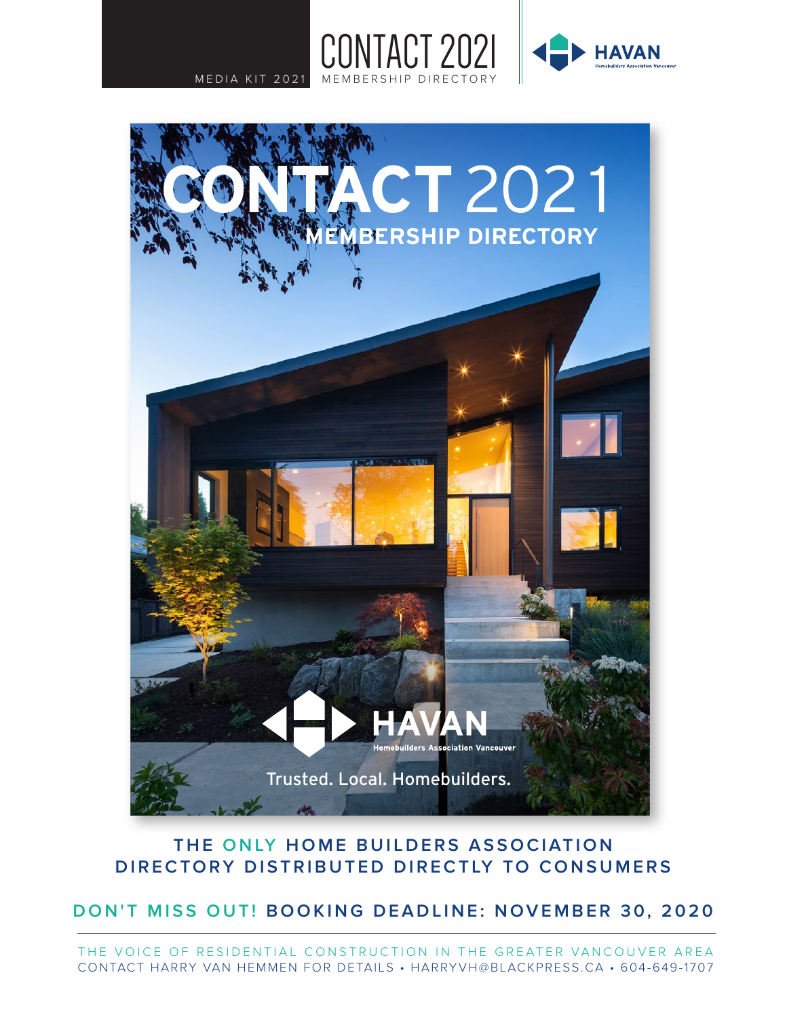



### **THE ONLY HOME BUILDERS ASSOCIATION DIRECTORY DISTRIBUTED DIRECTLY TO CONSUMERS**

**DON'T MISS OUT! BOOKING DEADLINE: NOVEMBER 30, 2020**

THE VOICE OF RESIDENTIAL CONSTRUCTION IN THE GREATER VANCOUVER AREA CONTACT HARRY VAN HEMMEN FOR DETAILS • HARRYVH@BLACKPRESS.CA • 604-649-1707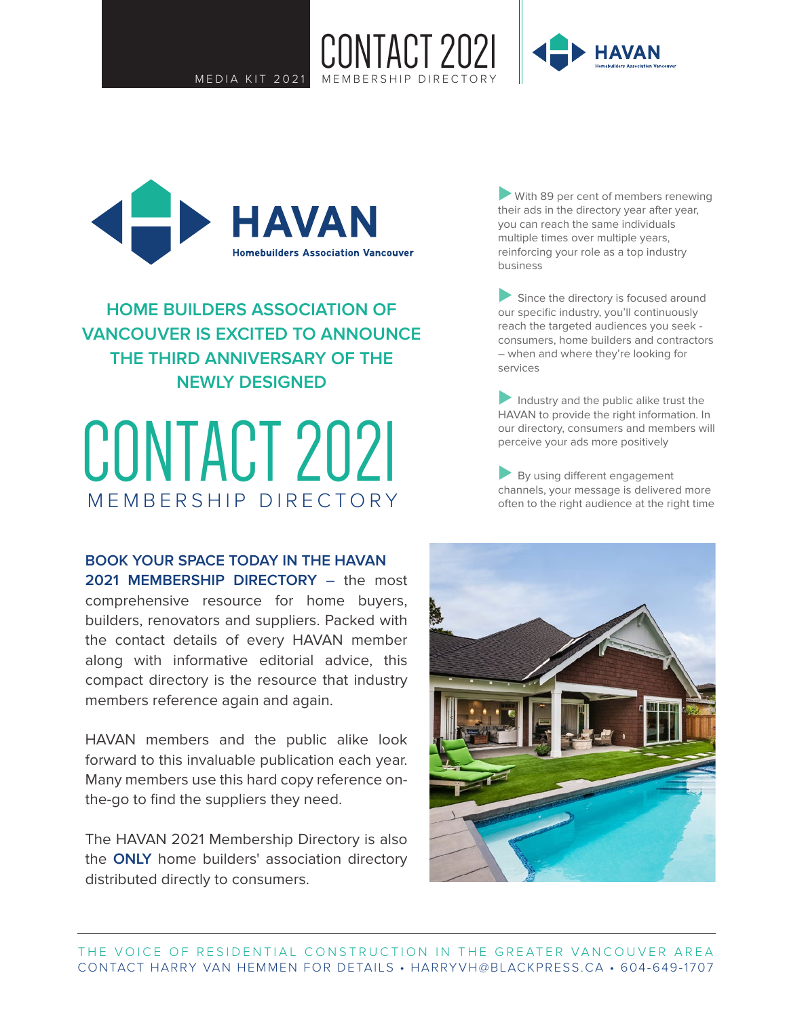

NTACT 2021



**HOME BUILDERS ASSOCIATION OF VANCOUVER IS EXCITED TO ANNOUNCE THE THIRD ANNIVERSARY OF THE NEWLY DESIGNED**

# CONTACT 2021 MEMBERSHIP DIRECTORY

**BOOK YOUR SPACE TODAY IN THE HAVAN 2021 MEMBERSHIP DIRECTORY** – the most comprehensive resource for home buyers, builders, renovators and suppliers. Packed with the contact details of every HAVAN member along with informative editorial advice, this compact directory is the resource that industry members reference again and again.

HAVAN members and the public alike look forward to this invaluable publication each year. Many members use this hard copy reference onthe-go to find the suppliers they need.

The HAVAN 2021 Membership Directory is also the **ONLY** home builders' association directory distributed directly to consumers.

■ With 89 per cent of members renewing their ads in the directory year after year, you can reach the same individuals multiple times over multiple years, reinforcing your role as a top industry business

■ Since the directory is focused around our specific industry, you'll continuously reach the targeted audiences you seek consumers, home builders and contractors – when and where they're looking for services

■ Industry and the public alike trust the HAVAN to provide the right information. In our directory, consumers and members will perceive your ads more positively

By using different engagement channels, your message is delivered more often to the right audience at the right time

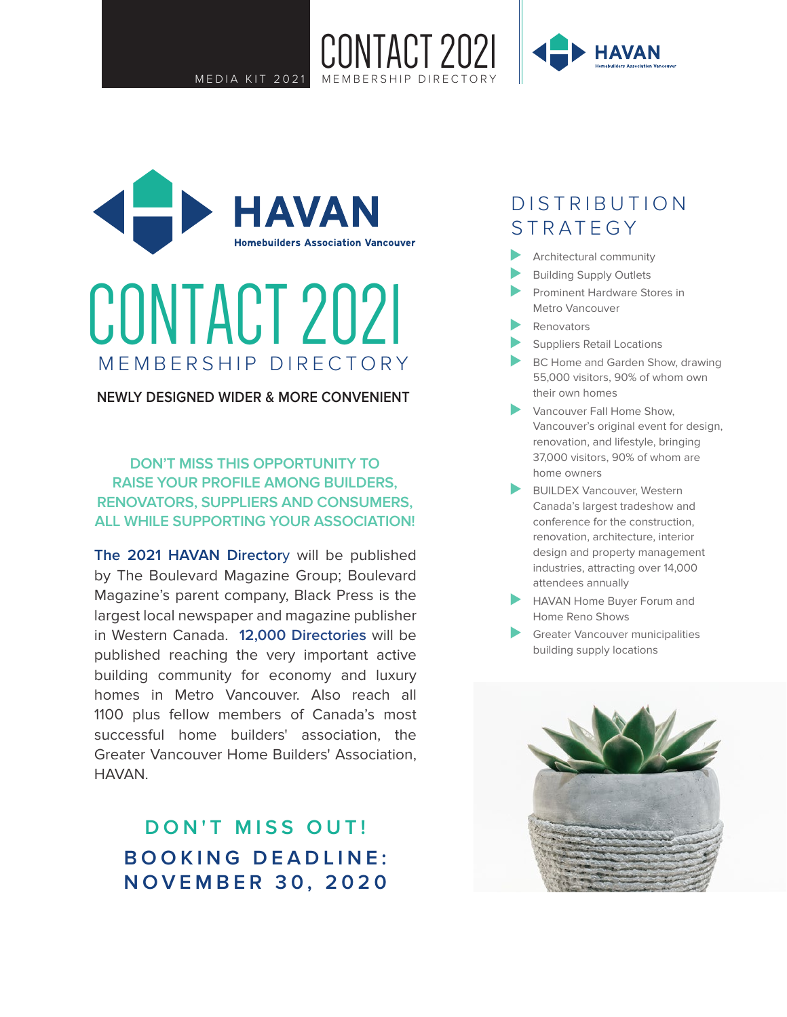CONTACT 2021





# CONTACT 2021 MEMBERSHIP DIRECTORY

**NEWLY DESIGNED WIDER & MORE CONVENIENT**

**DON'T MISS THIS OPPORTUNITY TO RAISE YOUR PROFILE AMONG BUILDERS, RENOVATORS, SUPPLIERS AND CONSUMERS, ALL WHILE SUPPORTING YOUR ASSOCIATION!**

**The 2021 HAVAN Director**y will be published by The Boulevard Magazine Group; Boulevard Magazine's parent company, Black Press is the largest local newspaper and magazine publisher in Western Canada. **12,000 Directories** will be published reaching the very important active building community for economy and luxury homes in Metro Vancouver. Also reach all 1100 plus fellow members of Canada's most successful home builders' association, the Greater Vancouver Home Builders' Association, HAVAN.

**DON'T MISS OUT! BOOKING DEADLINE: NOVEMBER 30, 2020**

## DISTRIBUTION STRATEGY

- ◆ Architectural community
- Building Supply Outlets
- ⊲ Prominent Hardware Stores in Metro Vancouver
- ⊲ Renovators
- Suppliers Retail Locations
- BC Home and Garden Show, drawing 55,000 visitors, 90% of whom own their own homes
- ◆ Vancouver Fall Home Show, Vancouver's original event for design, renovation, and lifestyle, bringing 37,000 visitors, 90% of whom are home owners
- BUILDEX Vancouver, Western Canada's largest tradeshow and conference for the construction, renovation, architecture, interior design and property management industries, attracting over 14,000 attendees annually
- HAVAN Home Buyer Forum and Home Reno Shows
- Greater Vancouver municipalities building supply locations

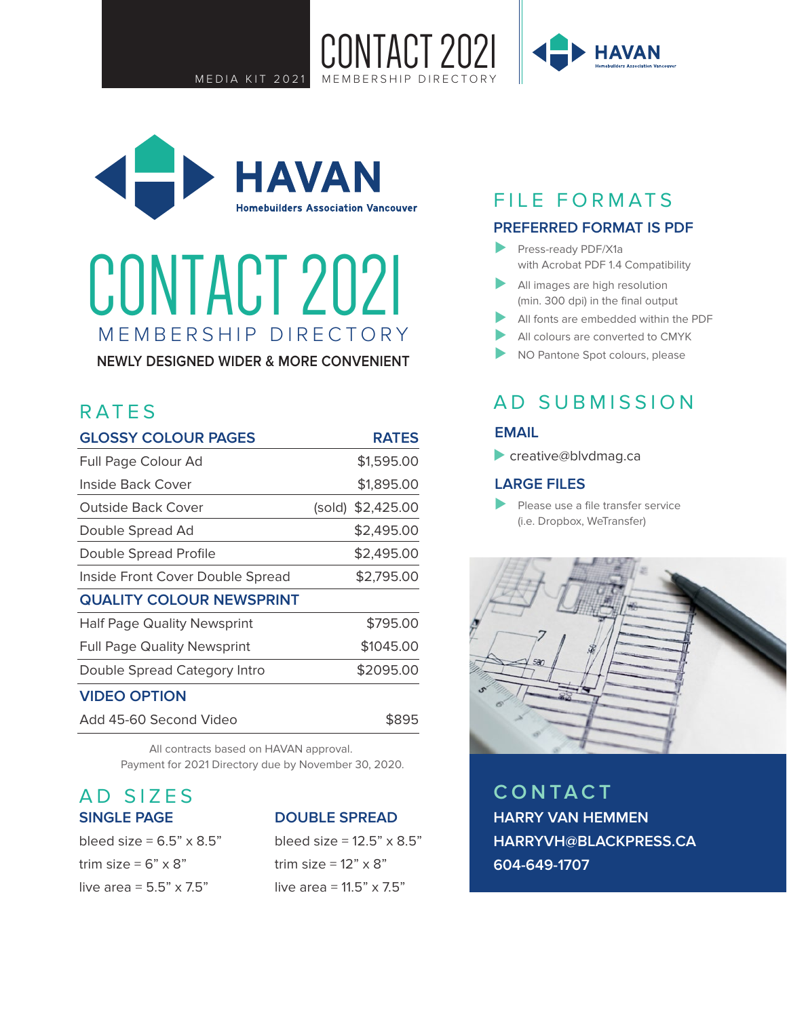

NTACT 2N21

# CONTACT 2021 MEMBERSHIP DIRECTORY

**NEWLY DESIGNED WIDER & MORE CONVENIENT**

## RATES

| <b>GLOSSY COLOUR PAGES</b>         | <b>RATES</b>      |
|------------------------------------|-------------------|
| Full Page Colour Ad                | \$1,595.00        |
| Inside Back Cover                  | \$1,895.00        |
| Outside Back Cover                 | (sold) \$2,425.00 |
| Double Spread Ad                   | \$2,495.00        |
| Double Spread Profile              | \$2,495.00        |
| Inside Front Cover Double Spread   | \$2,795.00        |
| <b>QUALITY COLOUR NEWSPRINT</b>    |                   |
| <b>Half Page Quality Newsprint</b> | \$795.00          |
| <b>Full Page Quality Newsprint</b> | \$1045.00         |
| Double Spread Category Intro       | \$2095.00         |
| <b>VIDEO OPTION</b>                |                   |
| Add 45-60 Second Video             | \$895             |

All contracts based on HAVAN approval. Payment for 2021 Directory due by November 30, 2020.

### AD SIZES **SINGLE PAGE**

| bleed size = $6.5$ " x 8.5"    |
|--------------------------------|
| trim size = 6" x 8"            |
| live area = $5.5" \times 7.5"$ |

#### **DOUBLE SPREAD**

bleed size =  $12.5$ "  $\times$  8.5" trim size =  $12" \times 8"$ live area =  $11.5$ " x 7.5"

## FILE FORMATS

#### **PREFERRED FORMAT IS PDF**

- ⊲ Press-ready PDF/X1a with Acrobat PDF 1.4 Compatibility
- ⊲ All images are high resolution (min. 300 dpi) in the final output
- All fonts are embedded within the PDF
- ▲ All colours are converted to CMYK
- NO Pantone Spot colours, please

### AD SUBMISSION

#### **EMAIL**

⊲ creative@blvdmag.ca

#### **LARGE FILES**

⊲ Please use a file transfer service (i.e. Dropbox, WeTransfer)



**CONTACT HARRY VAN HEMMEN HARRYVH@BLACKPRESS.CA 604-649-1707**